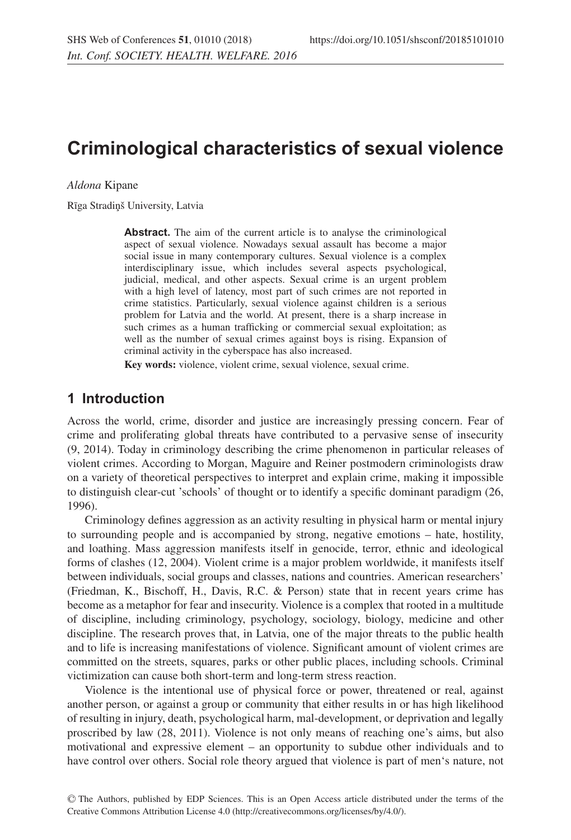# **Criminological characteristics of sexual violence**

*Aldona* Kipane

Rīga Stradiņš University, Latvia

**Abstract.** The aim of the current article is to analyse the criminological aspect of sexual violence. Nowadays sexual assault has become a major social issue in many contemporary cultures. Sexual violence is a complex interdisciplinary issue, which includes several aspects psychological, judicial, medical, and other aspects. Sexual crime is an urgent problem with a high level of latency, most part of such crimes are not reported in crime statistics. Particularly, sexual violence against children is a serious problem for Latvia and the world. At present, there is a sharp increase in such crimes as a human trafficking or commercial sexual exploitation; as well as the number of sexual crimes against boys is rising. Expansion of criminal activity in the cyberspace has also increased.

**Key words:** violence, violent crime, sexual violence, sexual crime.

#### **1 Introduction**

Across the world, crime, disorder and justice are increasingly pressing concern. Fear of crime and proliferating global threats have contributed to a pervasive sense of insecurity (9, 2014). Today in criminology describing the crime phenomenon in particular releases of violent crimes. According to Morgan, Maguire and Reiner postmodern criminologists draw on a variety of theoretical perspectives to interpret and explain crime, making it impossible to distinguish clear-cut 'schools' of thought or to identify a specific dominant paradigm (26, 1996).

Criminology defines aggression as an activity resulting in physical harm or mental injury to surrounding people and is accompanied by strong, negative emotions – hate, hostility, and loathing. Mass aggression manifests itself in genocide, terror, ethnic and ideological forms of clashes (12, 2004). Violent crime is a major problem worldwide, it manifests itself between individuals, social groups and classes, nations and countries. American researchers' (Friedman, K., Bischoff, H., Davis, R.C. & Person) state that in recent years crime has become as a metaphor for fear and insecurity. Violence is a complex that rooted in a multitude of discipline, including criminology, psychology, sociology, biology, medicine and other discipline. The research proves that, in Latvia, one of the major threats to the public health and to life is increasing manifestations of violence. Significant amount of violent crimes are committed on the streets, squares, parks or other public places, including schools. Criminal victimization can cause both short-term and long-term stress reaction.

Violence is the intentional use of physical force or power, threatened or real, against another person, or against a group or community that either results in or has high likelihood of resulting in injury, death, psychological harm, mal-development, or deprivation and legally proscribed by law (28, 2011). Violence is not only means of reaching one's aims, but also motivational and expressive element – an opportunity to subdue other individuals and to have control over others. Social role theory argued that violence is part of men's nature, not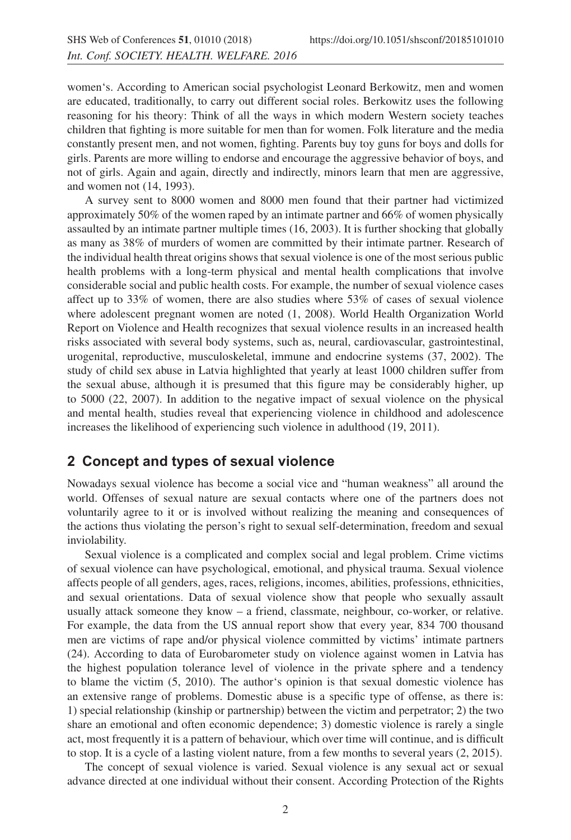women's. According to American social psychologist Leonard Berkowitz, men and women are educated, traditionally, to carry out different social roles. Berkowitz uses the following reasoning for his theory: Think of all the ways in which modern Western society teaches children that fighting is more suitable for men than for women. Folk literature and the media constantly present men, and not women, fighting. Parents buy toy guns for boys and dolls for girls. Parents are more willing to endorse and encourage the aggressive behavior of boys, and not of girls. Again and again, directly and indirectly, minors learn that men are aggressive, and women not (14, 1993).

A survey sent to 8000 women and 8000 men found that their partner had victimized approximately 50% of the women raped by an intimate partner and 66% of women physically assaulted by an intimate partner multiple times (16, 2003). It is further shocking that globally as many as 38% of murders of women are committed by their intimate partner. Research of the individual health threat origins shows that sexual violence is one of the most serious public health problems with a long-term physical and mental health complications that involve considerable social and public health costs. For example, the number of sexual violence cases affect up to 33% of women, there are also studies where 53% of cases of sexual violence where adolescent pregnant women are noted (1, 2008). World Health Organization World Report on Violence and Health recognizes that sexual violence results in an increased health risks associated with several body systems, such as, neural, cardiovascular, gastrointestinal, urogenital, reproductive, musculoskeletal, immune and endocrine systems (37, 2002). The study of child sex abuse in Latvia highlighted that yearly at least 1000 children suffer from the sexual abuse, although it is presumed that this figure may be considerably higher, up to 5000 (22, 2007). In addition to the negative impact of sexual violence on the physical and mental health, studies reveal that experiencing violence in childhood and adolescence increases the likelihood of experiencing such violence in adulthood (19, 2011).

### **2 Concept and types of sexual violence**

Nowadays sexual violence has become a social vice and "human weakness" all around the world. Offenses of sexual nature are sexual contacts where one of the partners does not voluntarily agree to it or is involved without realizing the meaning and consequences of the actions thus violating the person's right to sexual self-determination, freedom and sexual inviolability.

Sexual violence is a complicated and complex social and legal problem. Crime victims of sexual violence can have psychological, emotional, and physical trauma. Sexual violence affects people of all genders, ages, races, religions, incomes, abilities, professions, ethnicities, and sexual orientations. Data of sexual violence show that people who sexually assault usually attack someone they know – a friend, classmate, neighbour, co-worker, or relative. For example, the data from the US annual report show that every year, 834 700 thousand men are victims of rape and/or physical violence committed by victims' intimate partners (24). According to data of Eurobarometer study on violence against women in Latvia has the highest population tolerance level of violence in the private sphere and a tendency to blame the victim (5, 2010). The author's opinion is that sexual domestic violence has an extensive range of problems. Domestic abuse is a specific type of offense, as there is: 1) special relationship (kinship or partnership) between the victim and perpetrator; 2) the two share an emotional and often economic dependence; 3) domestic violence is rarely a single act, most frequently it is a pattern of behaviour, which over time will continue, and is difficult to stop. It is a cycle of a lasting violent nature, from a few months to several years (2, 2015).

The concept of sexual violence is varied. Sexual violence is any sexual act or sexual advance directed at one individual without their consent. According Protection of the Rights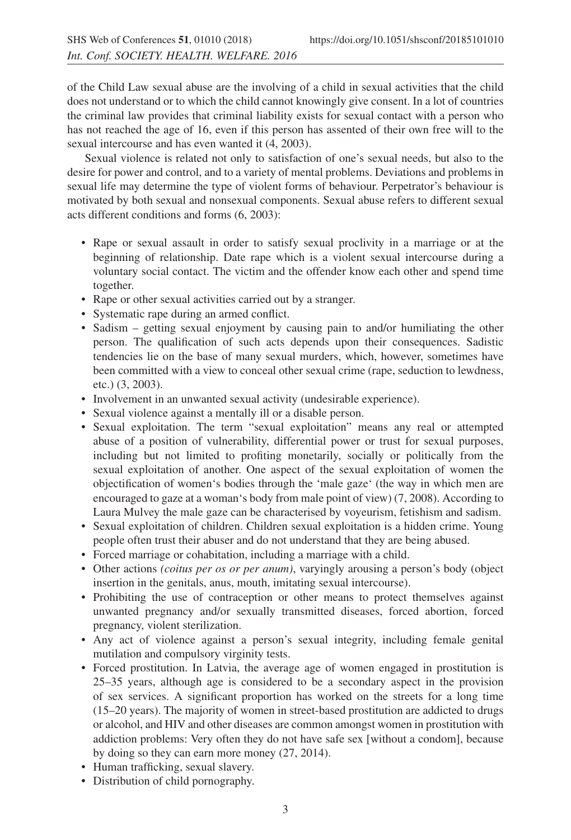of the Child Law sexual abuse are the involving of a child in sexual activities that the child does not understand or to which the child cannot knowingly give consent. In a lot of countries the criminal law provides that criminal liability exists for sexual contact with a person who has not reached the age of 16, even if this person has assented of their own free will to the sexual intercourse and has even wanted it (4, 2003).

Sexual violence is related not only to satisfaction of one's sexual needs, but also to the desire for power and control, and to a variety of mental problems. Deviations and problems in sexual life may determine the type of violent forms of behaviour. Perpetrator's behaviour is motivated by both sexual and nonsexual components. Sexual abuse refers to different sexual acts different conditions and forms (6, 2003):

- Rape or sexual assault in order to satisfy sexual proclivity in a marriage or at the beginning of relationship. Date rape which is a violent sexual intercourse during a voluntary social contact. The victim and the offender know each other and spend time together.
- Rape or other sexual activities carried out by a stranger.
- Systematic rape during an armed conflict.
- Sadism getting sexual enjoyment by causing pain to and/or humiliating the other person. The qualification of such acts depends upon their consequences. Sadistic tendencies lie on the base of many sexual murders, which, however, sometimes have been committed with a view to conceal other sexual crime (rape, seduction to lewdness, etc.) (3, 2003).
- Involvement in an unwanted sexual activity (undesirable experience).
- Sexual violence against a mentally ill or a disable person.
- Sexual exploitation. The term "sexual exploitation" means any real or attempted abuse of a position of vulnerability, differential power or trust for sexual purposes, including but not limited to profiting monetarily, socially or politically from the sexual exploitation of another. One aspect of the sexual exploitation of women the objectification of women's bodies through the 'male gaze' (the way in which men are encouraged to gaze at a woman's body from male point of view) (7, 2008). According to Laura Mulvey the male gaze can be characterised by voyeurism, fetishism and sadism.
- Sexual exploitation of children. Children sexual exploitation is a hidden crime. Young people often trust their abuser and do not understand that they are being abused.
- Forced marriage or cohabitation, including a marriage with a child.
- Other actions *(coitus per os or per anum)*, varyingly arousing a person's body (object insertion in the genitals, anus, mouth, imitating sexual intercourse).
- Prohibiting the use of contraception or other means to protect themselves against unwanted pregnancy and/or sexually transmitted diseases, forced abortion, forced pregnancy, violent sterilization.
- Any act of violence against a person's sexual integrity, including female genital mutilation and compulsory virginity tests.
- Forced prostitution. In Latvia, the average age of women engaged in prostitution is 25–35 years, although age is considered to be a secondary aspect in the provision of sex services. A significant proportion has worked on the streets for a long time (15–20 years). The majority of women in street-based prostitution are addicted to drugs or alcohol, and HIV and other diseases are common amongst women in prostitution with addiction problems: Very often they do not have safe sex [without a condom], because by doing so they can earn more money (27, 2014).
- Human trafficking, sexual slavery.
- Distribution of child pornography.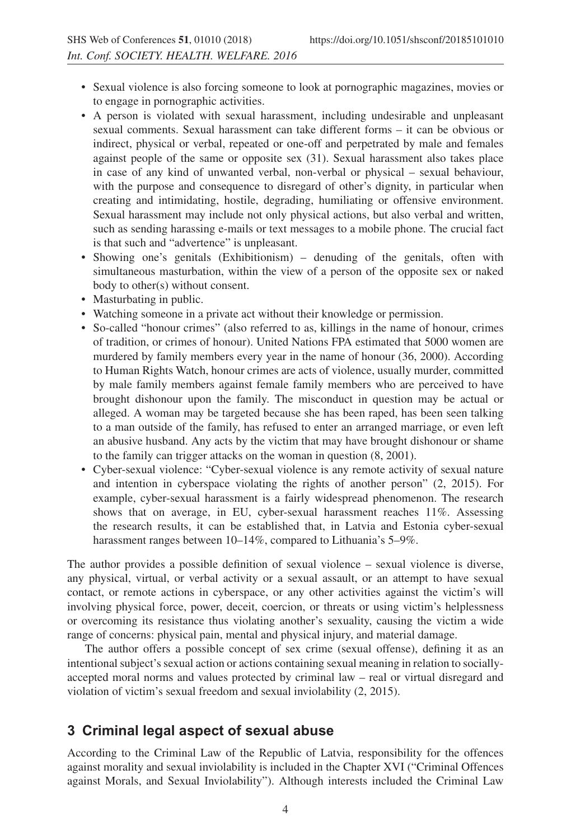- Sexual violence is also forcing someone to look at pornographic magazines, movies or to engage in pornographic activities.
- A person is violated with sexual harassment, including undesirable and unpleasant sexual comments. Sexual harassment can take different forms – it can be obvious or indirect, physical or verbal, repeated or one-off and perpetrated by male and females against people of the same or opposite sex (31). Sexual harassment also takes place in case of any kind of unwanted verbal, non-verbal or physical – sexual behaviour, with the purpose and consequence to disregard of other's dignity, in particular when creating and intimidating, hostile, degrading, humiliating or offensive environment. Sexual harassment may include not only physical actions, but also verbal and written, such as sending harassing e-mails or text messages to a mobile phone. The crucial fact is that such and "advertence" is unpleasant.
- Showing one's genitals (Exhibitionism) denuding of the genitals, often with simultaneous masturbation, within the view of a person of the opposite sex or naked body to other(s) without consent.
- Masturbating in public.
- Watching someone in a private act without their knowledge or permission.
- So-called "honour crimes" (also referred to as, killings in the name of honour, crimes of tradition, or crimes of honour). United Nations FPA estimated that 5000 women are murdered by family members every year in the name of honour (36, 2000). According to Human Rights Watch, honour crimes are acts of violence, usually murder, committed by male family members against female family members who are perceived to have brought dishonour upon the family. The misconduct in question may be actual or alleged. A woman may be targeted because she has been raped, has been seen talking to a man outside of the family, has refused to enter an arranged marriage, or even left an abusive husband. Any acts by the victim that may have brought dishonour or shame to the family can trigger attacks on the woman in question (8, 2001).
- Cyber-sexual violence: "Cyber-sexual violence is any remote activity of sexual nature and intention in cyberspace violating the rights of another person" (2, 2015). For example, cyber-sexual harassment is a fairly widespread phenomenon. The research shows that on average, in EU, cyber-sexual harassment reaches 11%. Assessing the research results, it can be established that, in Latvia and Estonia cyber-sexual harassment ranges between 10–14%, compared to Lithuania's 5–9%.

The author provides a possible definition of sexual violence – sexual violence is diverse, any physical, virtual, or verbal activity or a sexual assault, or an attempt to have sexual contact, or remote actions in cyberspace, or any other activities against the victim's will involving physical force, power, deceit, coercion, or threats or using victim's helplessness or overcoming its resistance thus violating another's sexuality, causing the victim a wide range of concerns: physical pain, mental and physical injury, and material damage.

The author offers a possible concept of sex crime (sexual offense), defining it as an intentional subject's sexual action or actions containing sexual meaning in relation to sociallyaccepted moral norms and values protected by criminal law – real or virtual disregard and violation of victim's sexual freedom and sexual inviolability (2, 2015).

### **3 Criminal legal aspect of sexual abuse**

According to the Criminal Law of the Republic of Latvia, responsibility for the offences against morality and sexual inviolability is included in the Chapter XVI ("Criminal Offences against Morals, and Sexual Inviolability"). Although interests included the Criminal Law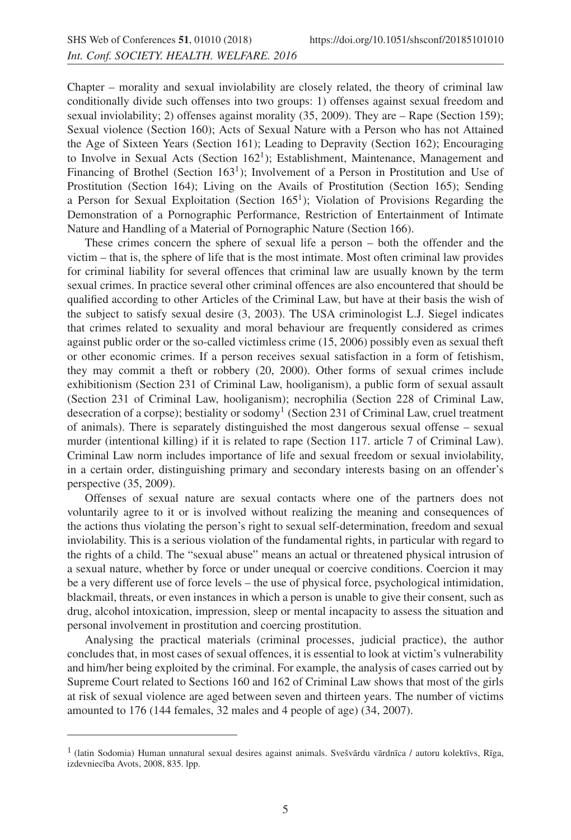Chapter – morality and sexual inviolability are closely related, the theory of criminal law conditionally divide such offenses into two groups: 1) offenses against sexual freedom and sexual inviolability; 2) offenses against morality (35, 2009). They are – Rape (Section 159); Sexual violence (Section 160); Acts of Sexual Nature with a Person who has not Attained the Age of Sixteen Years (Section 161); Leading to Depravity (Section 162); Encouraging to Involve in Sexual Acts (Section 1621); Establishment, Maintenance, Management and Financing of Brothel (Section  $163<sup>1</sup>$ ); Involvement of a Person in Prostitution and Use of Prostitution (Section 164); Living on the Avails of Prostitution (Section 165); Sending a Person for Sexual Exploitation (Section  $165<sup>1</sup>$ ); Violation of Provisions Regarding the Demonstration of a Pornographic Performance, Restriction of Entertainment of Intimate Nature and Handling of a Material of Pornographic Nature (Section 166).

These crimes concern the sphere of sexual life a person – both the offender and the victim – that is, the sphere of life that is the most intimate. Most often criminal law provides for criminal liability for several offences that criminal law are usually known by the term sexual crimes. In practice several other criminal offences are also encountered that should be qualified according to other Articles of the Criminal Law, but have at their basis the wish of the subject to satisfy sexual desire (3, 2003). The USA criminologist L.J. Siegel indicates that crimes related to sexuality and moral behaviour are frequently considered as crimes against public order or the so-called victimless crime (15, 2006) possibly even as sexual theft or other economic crimes. If a person receives sexual satisfaction in a form of fetishism, they may commit a theft or robbery (20, 2000). Other forms of sexual crimes include exhibitionism (Section 231 of Criminal Law, hooliganism), a public form of sexual assault (Section 231 of Criminal Law, hooliganism); necrophilia (Section 228 of Criminal Law, desecration of a corpse); bestiality or sodomy<sup>1</sup> (Section 231 of Criminal Law, cruel treatment of animals). There is separately distinguished the most dangerous sexual offense – sexual murder (intentional killing) if it is related to rape (Section 117. article 7 of Criminal Law). Criminal Law norm includes importance of life and sexual freedom or sexual inviolability, in a certain order, distinguishing primary and secondary interests basing on an offender's perspective (35, 2009).

Offenses of sexual nature are sexual contacts where one of the partners does not voluntarily agree to it or is involved without realizing the meaning and consequences of the actions thus violating the person's right to sexual self-determination, freedom and sexual inviolability. This is a serious violation of the fundamental rights, in particular with regard to the rights of a child. The "sexual abuse" means an actual or threatened physical intrusion of a sexual nature, whether by force or under unequal or coercive conditions. Coercion it may be a very different use of force levels – the use of physical force, psychological intimidation, blackmail, threats, or even instances in which a person is unable to give their consent, such as drug, alcohol intoxication, impression, sleep or mental incapacity to assess the situation and personal involvement in prostitution and coercing prostitution.

Analysing the practical materials (criminal processes, judicial practice), the author concludes that, in most cases of sexual offences, it is essential to look at victim's vulnerability and him/her being exploited by the criminal. For example, the analysis of cases carried out by Supreme Court related to Sections 160 and 162 of Criminal Law shows that most of the girls at risk of sexual violence are aged between seven and thirteen years. The number of victims amounted to 176 (144 females, 32 males and 4 people of age) (34, 2007).

 $1$  (latin Sodomia) Human unnatural sexual desires against animals. Svešvārdu vārdnīca / autoru kolektīvs, Rīga, izdevniecība Avots, 2008, 835. lpp.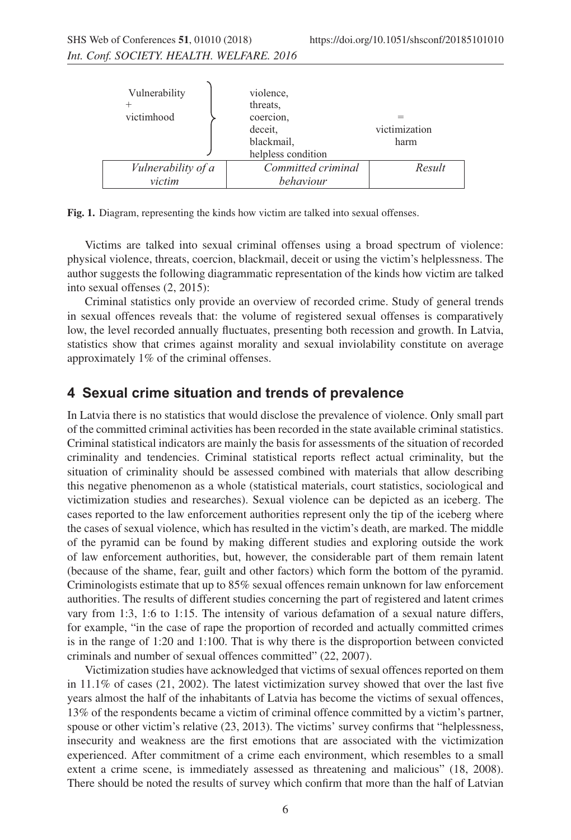| Vulnerability      | violence,<br>threats.                                    |                       |
|--------------------|----------------------------------------------------------|-----------------------|
| victimhood         | coercion,<br>deceit.<br>blackmail,<br>helpless condition | victimization<br>harm |
| Vulnerability of a | Committed criminal                                       | Result                |
| victim             | behaviour                                                |                       |

**Fig. 1.** Diagram, representing the kinds how victim are talked into sexual offenses.

Victims are talked into sexual criminal offenses using a broad spectrum of violence: physical violence, threats, coercion, blackmail, deceit or using the victim's helplessness. The author suggests the following diagrammatic representation of the kinds how victim are talked into sexual offenses (2, 2015):

Criminal statistics only provide an overview of recorded crime. Study of general trends in sexual offences reveals that: the volume of registered sexual offenses is comparatively low, the level recorded annually fluctuates, presenting both recession and growth. In Latvia, statistics show that crimes against morality and sexual inviolability constitute on average approximately 1% of the criminal offenses.

#### **4 Sexual crime situation and trends of prevalence**

In Latvia there is no statistics that would disclose the prevalence of violence. Only small part of the committed criminal activities has been recorded in the state available criminal statistics. Criminal statistical indicators are mainly the basis for assessments of the situation of recorded criminality and tendencies. Criminal statistical reports reflect actual criminality, but the situation of criminality should be assessed combined with materials that allow describing this negative phenomenon as a whole (statistical materials, court statistics, sociological and victimization studies and researches). Sexual violence can be depicted as an iceberg. The cases reported to the law enforcement authorities represent only the tip of the iceberg where the cases of sexual violence, which has resulted in the victim's death, are marked. The middle of the pyramid can be found by making different studies and exploring outside the work of law enforcement authorities, but, however, the considerable part of them remain latent (because of the shame, fear, guilt and other factors) which form the bottom of the pyramid. Criminologists estimate that up to 85% sexual offences remain unknown for law enforcement authorities. The results of different studies concerning the part of registered and latent crimes vary from 1:3, 1:6 to 1:15. The intensity of various defamation of a sexual nature differs, for example, "in the case of rape the proportion of recorded and actually committed crimes is in the range of 1:20 and 1:100. That is why there is the disproportion between convicted criminals and number of sexual offences committed" (22, 2007).

Victimization studies have acknowledged that victims of sexual offences reported on them in 11.1% of cases (21, 2002). The latest victimization survey showed that over the last five years almost the half of the inhabitants of Latvia has become the victims of sexual offences, 13% of the respondents became a victim of criminal offence committed by a victim's partner, spouse or other victim's relative (23, 2013). The victims' survey confirms that "helplessness, insecurity and weakness are the first emotions that are associated with the victimization experienced. After commitment of a crime each environment, which resembles to a small extent a crime scene, is immediately assessed as threatening and malicious" (18, 2008). There should be noted the results of survey which confirm that more than the half of Latvian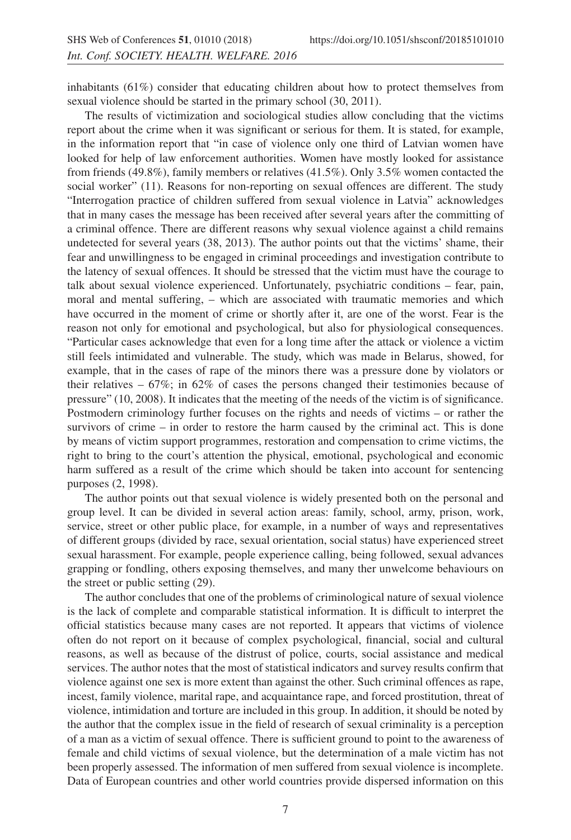inhabitants (61%) consider that educating children about how to protect themselves from sexual violence should be started in the primary school (30, 2011).

The results of victimization and sociological studies allow concluding that the victims report about the crime when it was significant or serious for them. It is stated, for example, in the information report that "in case of violence only one third of Latvian women have looked for help of law enforcement authorities. Women have mostly looked for assistance from friends (49.8%), family members or relatives (41.5%). Only 3.5% women contacted the social worker" (11). Reasons for non-reporting on sexual offences are different. The study "Interrogation practice of children suffered from sexual violence in Latvia" acknowledges that in many cases the message has been received after several years after the committing of a criminal offence. There are different reasons why sexual violence against a child remains undetected for several years (38, 2013). The author points out that the victims' shame, their fear and unwillingness to be engaged in criminal proceedings and investigation contribute to the latency of sexual offences. It should be stressed that the victim must have the courage to talk about sexual violence experienced. Unfortunately, psychiatric conditions – fear, pain, moral and mental suffering, – which are associated with traumatic memories and which have occurred in the moment of crime or shortly after it, are one of the worst. Fear is the reason not only for emotional and psychological, but also for physiological consequences. "Particular cases acknowledge that even for a long time after the attack or violence a victim still feels intimidated and vulnerable. The study, which was made in Belarus, showed, for example, that in the cases of rape of the minors there was a pressure done by violators or their relatives – 67%; in 62% of cases the persons changed their testimonies because of pressure" (10, 2008). It indicates that the meeting of the needs of the victim is of significance. Postmodern criminology further focuses on the rights and needs of victims – or rather the survivors of crime – in order to restore the harm caused by the criminal act. This is done by means of victim support programmes, restoration and compensation to crime victims, the right to bring to the court's attention the physical, emotional, psychological and economic harm suffered as a result of the crime which should be taken into account for sentencing purposes (2, 1998).

The author points out that sexual violence is widely presented both on the personal and group level. It can be divided in several action areas: family, school, army, prison, work, service, street or other public place, for example, in a number of ways and representatives of different groups (divided by race, sexual orientation, social status) have experienced street sexual harassment. For example, people experience calling, being followed, sexual advances grapping or fondling, others exposing themselves, and many ther unwelcome behaviours on the street or public setting (29).

The author concludes that one of the problems of criminological nature of sexual violence is the lack of complete and comparable statistical information. It is difficult to interpret the official statistics because many cases are not reported. It appears that victims of violence often do not report on it because of complex psychological, financial, social and cultural reasons, as well as because of the distrust of police, courts, social assistance and medical services. The author notes that the most of statistical indicators and survey results confirm that violence against one sex is more extent than against the other. Such criminal offences as rape, incest, family violence, marital rape, and acquaintance rape, and forced prostitution, threat of violence, intimidation and torture are included in this group. In addition, it should be noted by the author that the complex issue in the field of research of sexual criminality is a perception of a man as a victim of sexual offence. There is sufficient ground to point to the awareness of female and child victims of sexual violence, but the determination of a male victim has not been properly assessed. The information of men suffered from sexual violence is incomplete. Data of European countries and other world countries provide dispersed information on this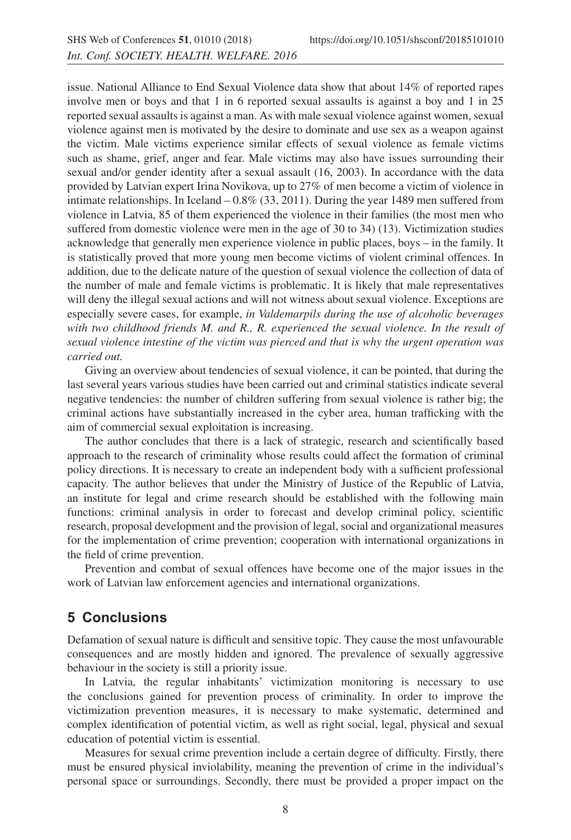issue. National Alliance to End Sexual Violence data show that about 14% of reported rapes involve men or boys and that 1 in 6 reported sexual assaults is against a boy and 1 in 25 reported sexual assaults is against a man. As with male sexual violence against women, sexual violence against men is motivated by the desire to dominate and use sex as a weapon against the victim. Male victims experience similar effects of sexual violence as female victims such as shame, grief, anger and fear. Male victims may also have issues surrounding their sexual and/or gender identity after a sexual assault (16, 2003). In accordance with the data provided by Latvian expert Irina Novikova, up to 27% of men become a victim of violence in intimate relationships. In Iceland  $-0.8\%$  (33, 2011). During the year 1489 men suffered from violence in Latvia, 85 of them experienced the violence in their families (the most men who suffered from domestic violence were men in the age of 30 to 34) (13). Victimization studies acknowledge that generally men experience violence in public places, boys – in the family. It is statistically proved that more young men become victims of violent criminal offences. In addition, due to the delicate nature of the question of sexual violence the collection of data of the number of male and female victims is problematic. It is likely that male representatives will deny the illegal sexual actions and will not witness about sexual violence. Exceptions are especially severe cases, for example, *in Valdemarpils during the use of alcoholic beverages with two childhood friends M. and R., R. experienced the sexual violence. In the result of sexual violence intestine of the victim was pierced and that is why the urgent operation was carried out.*

Giving an overview about tendencies of sexual violence, it can be pointed, that during the last several years various studies have been carried out and criminal statistics indicate several negative tendencies: the number of children suffering from sexual violence is rather big; the criminal actions have substantially increased in the cyber area, human trafficking with the aim of commercial sexual exploitation is increasing.

The author concludes that there is a lack of strategic, research and scientifically based approach to the research of criminality whose results could affect the formation of criminal policy directions. It is necessary to create an independent body with a sufficient professional capacity. The author believes that under the Ministry of Justice of the Republic of Latvia, an institute for legal and crime research should be established with the following main functions: criminal analysis in order to forecast and develop criminal policy, scientific research, proposal development and the provision of legal, social and organizational measures for the implementation of crime prevention; cooperation with international organizations in the field of crime prevention.

Prevention and combat of sexual offences have become one of the major issues in the work of Latvian law enforcement agencies and international organizations.

## **5 Conclusions**

Defamation of sexual nature is difficult and sensitive topic. They cause the most unfavourable consequences and are mostly hidden and ignored. The prevalence of sexually aggressive behaviour in the society is still a priority issue.

In Latvia, the regular inhabitants' victimization monitoring is necessary to use the conclusions gained for prevention process of criminality. In order to improve the victimization prevention measures, it is necessary to make systematic, determined and complex identification of potential victim, as well as right social, legal, physical and sexual education of potential victim is essential.

Measures for sexual crime prevention include a certain degree of difficulty. Firstly, there must be ensured physical inviolability, meaning the prevention of crime in the individual's personal space or surroundings. Secondly, there must be provided a proper impact on the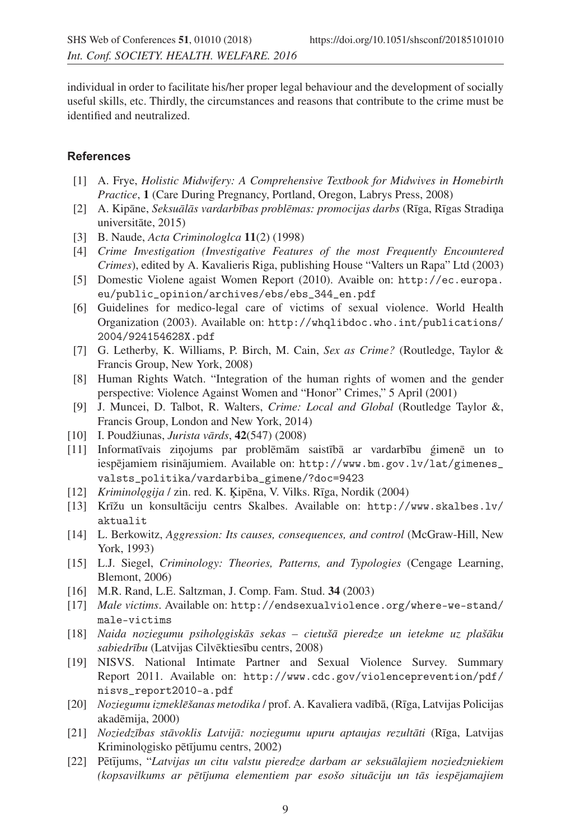individual in order to facilitate his/her proper legal behaviour and the development of socially useful skills, etc. Thirdly, the circumstances and reasons that contribute to the crime must be identified and neutralized.

#### **References**

- [1] A. Frye, *Holistic Midwifery: A Comprehensive Textbook for Midwives in Homebirth Practice*, **1** (Care During Pregnancy, Portland, Oregon, Labrys Press, 2008)
- [2] A. Kipane, ¯ *Seksual¯ as vardarb ¯ ¯ıbas problemas: promocijas darbs ¯* (R¯ıga, R¯ıgas Stradin¸a universitāte, 2015)
- [3] B. Naude, *Acta Criminologlca* **11**(2) (1998)
- [4] *Crime Investigation (Investigative Features of the most Frequently Encountered Crimes*), edited by A. Kavalieris Riga, publishing House "Valters un Rapa" Ltd (2003)
- [5] Domestic Violene agaist Women Report (2010). Avaible on: http://ec.europa. eu/public\_opinion/archives/ebs/ebs\_344\_en.pdf
- [6] Guidelines for medico-legal care of victims of sexual violence. World Health Organization (2003). Available on: http://whqlibdoc.who.int/publications/ 2004/924154628X.pdf
- [7] G. Letherby, K. Williams, P. Birch, M. Cain, *Sex as Crime?* (Routledge, Taylor & Francis Group, New York, 2008)
- [8] Human Rights Watch. "Integration of the human rights of women and the gender perspective: Violence Against Women and "Honor" Crimes," 5 April (2001)
- [9] J. Muncei, D. Talbot, R. Walters, *Crime: Local and Global* (Routledge Taylor &, Francis Group, London and New York, 2014)
- [10] I. Poudžiunas, *Jurista vards ¯* , **42**(547) (2008)
- [11] Informatīvais ziņojums par problēmām saistībā ar vardarbību ģimenē un to iespējamiem risinājumiem. Available on: http://www.bm.gov.lv/lat/gimenes\_ valsts\_politika/vardarbiba\_gimene/?doc=9423
- [12] *Kriminologija* / zin. red. K. Ķipēna, V. Vilks. Rīga, Nordik (2004)
- [13] Krīžu un konsultāciju centrs Skalbes. Available on: http://www.skalbes.lv/ aktualit
- [14] L. Berkowitz, *Aggression: Its causes, consequences, and control* (McGraw-Hill, New York, 1993)
- [15] L.J. Siegel, *Criminology: Theories, Patterns, and Typologies* (Cengage Learning, Blemont, 2006)
- [16] M.R. Rand, L.E. Saltzman, J. Comp. Fam. Stud. **34** (2003)
- [17] *Male victims*. Available on: http://endsexualviolence.org/where-we-stand/ male-victims
- [18] *Naida noziegumu psiholo˛giskas sekas cietuš ¯ a pieredze un ietekme uz plaš ¯ aku ¯* sabiedrību (Latvijas Cilvēktiesību centrs, 2008)
- [19] NISVS. National Intimate Partner and Sexual Violence Survey. Summary Report 2011. Available on: http://www.cdc.gov/violenceprevention/pdf/ nisvs\_report2010-a.pdf
- [20] *Noziegumu izmeklēšanas metodika* / prof. A. Kavaliera vadībā, (Rīga, Latvijas Policijas akadēmija, 2000)
- [21] *Noziedz¯ıbas stavoklis Latvij ¯ a: noziegumu upuru aptaujas rezult ¯ ati ¯* (R¯ıga, Latvijas Kriminologisko pētījumu centrs, 2002)
- [22] Pētījums, "Latvijas un citu valstu pieredze darbam ar seksuālajiem noziedzniekiem *(kopsavilkums ar pet¯ ¯ıjuma elementiem par esošo situaciju un t ¯ as iesp ¯ ejamajiem ¯*